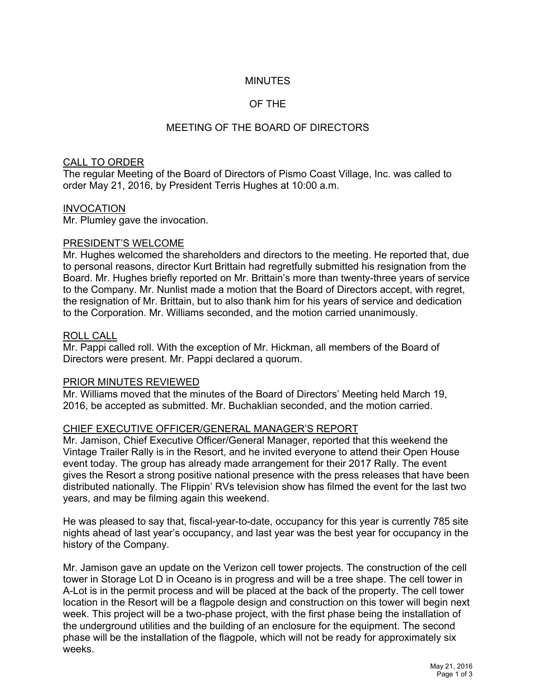# MINUTES

# OF THE

# MEETING OF THE BOARD OF DIRECTORS

## CALL TO ORDER

The regular Meeting of the Board of Directors of Pismo Coast Village, Inc. was called to order May 21, 2016, by President Terris Hughes at 10:00 a.m.

## INVOCATION

Mr. Plumley gave the invocation.

## PRESIDENT'S WELCOME

Mr. Hughes welcomed the shareholders and directors to the meeting. He reported that, due to personal reasons, director Kurt Brittain had regretfully submitted his resignation from the Board. Mr. Hughes briefly reported on Mr. Brittain's more than twenty-three years of service to the Company. Mr. Nunlist made a motion that the Board of Directors accept, with regret, the resignation of Mr. Brittain, but to also thank him for his years of service and dedication to the Corporation. Mr. Williams seconded, and the motion carried unanimously.

#### ROLL CALL

Mr. Pappi called roll. With the exception of Mr. Hickman, all members of the Board of Directors were present. Mr. Pappi declared a quorum.

## PRIOR MINUTES REVIEWED

Mr. Williams moved that the minutes of the Board of Directors' Meeting held March 19, 2016, be accepted as submitted. Mr. Buchaklian seconded, and the motion carried.

## CHIEF EXECUTIVE OFFICER/GENERAL MANAGER'S REPORT

Mr. Jamison, Chief Executive Officer/General Manager, reported that this weekend the Vintage Trailer Rally is in the Resort, and he invited everyone to attend their Open House event today. The group has already made arrangement for their 2017 Rally. The event gives the Resort a strong positive national presence with the press releases that have been distributed nationally. The Flippin' RVs television show has filmed the event for the last two years, and may be filming again this weekend.

He was pleased to say that, fiscal-year-to-date, occupancy for this year is currently 785 site nights ahead of last year's occupancy, and last year was the best year for occupancy in the history of the Company.

Mr. Jamison gave an update on the Verizon cell tower projects. The construction of the cell tower in Storage Lot D in Oceano is in progress and will be a tree shape. The cell tower in A-Lot is in the permit process and will be placed at the back of the property. The cell tower location in the Resort will be a flagpole design and construction on this tower will begin next week. This project will be a two-phase project, with the first phase being the installation of the underground utilities and the building of an enclosure for the equipment. The second phase will be the installation of the flagpole, which will not be ready for approximately six weeks.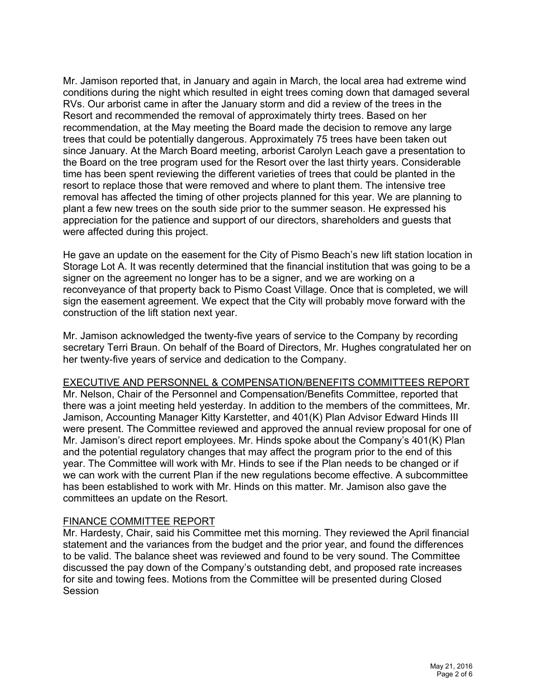Mr. Jamison reported that, in January and again in March, the local area had extreme wind conditions during the night which resulted in eight trees coming down that damaged several RVs. Our arborist came in after the January storm and did a review of the trees in the Resort and recommended the removal of approximately thirty trees. Based on her recommendation, at the May meeting the Board made the decision to remove any large trees that could be potentially dangerous. Approximately 75 trees have been taken out since January. At the March Board meeting, arborist Carolyn Leach gave a presentation to the Board on the tree program used for the Resort over the last thirty years. Considerable time has been spent reviewing the different varieties of trees that could be planted in the resort to replace those that were removed and where to plant them. The intensive tree removal has affected the timing of other projects planned for this year. We are planning to plant a few new trees on the south side prior to the summer season. He expressed his appreciation for the patience and support of our directors, shareholders and guests that were affected during this project.

He gave an update on the easement for the City of Pismo Beach's new lift station location in Storage Lot A. It was recently determined that the financial institution that was going to be a signer on the agreement no longer has to be a signer, and we are working on a reconveyance of that property back to Pismo Coast Village. Once that is completed, we will sign the easement agreement. We expect that the City will probably move forward with the construction of the lift station next year.

Mr. Jamison acknowledged the twenty-five years of service to the Company by recording secretary Terri Braun. On behalf of the Board of Directors, Mr. Hughes congratulated her on her twenty-five years of service and dedication to the Company.

## EXECUTIVE AND PERSONNEL & COMPENSATION/BENEFITS COMMITTEES REPORT

Mr. Nelson, Chair of the Personnel and Compensation/Benefits Committee, reported that there was a joint meeting held yesterday. In addition to the members of the committees, Mr. Jamison, Accounting Manager Kitty Karstetter, and 401(K) Plan Advisor Edward Hinds III were present. The Committee reviewed and approved the annual review proposal for one of Mr. Jamison's direct report employees. Mr. Hinds spoke about the Company's 401(K) Plan and the potential regulatory changes that may affect the program prior to the end of this year. The Committee will work with Mr. Hinds to see if the Plan needs to be changed or if we can work with the current Plan if the new regulations become effective. A subcommittee has been established to work with Mr. Hinds on this matter. Mr. Jamison also gave the committees an update on the Resort.

## FINANCE COMMITTEE REPORT

Mr. Hardesty, Chair, said his Committee met this morning. They reviewed the April financial statement and the variances from the budget and the prior year, and found the differences to be valid. The balance sheet was reviewed and found to be very sound. The Committee discussed the pay down of the Company's outstanding debt, and proposed rate increases for site and towing fees. Motions from the Committee will be presented during Closed **Session**